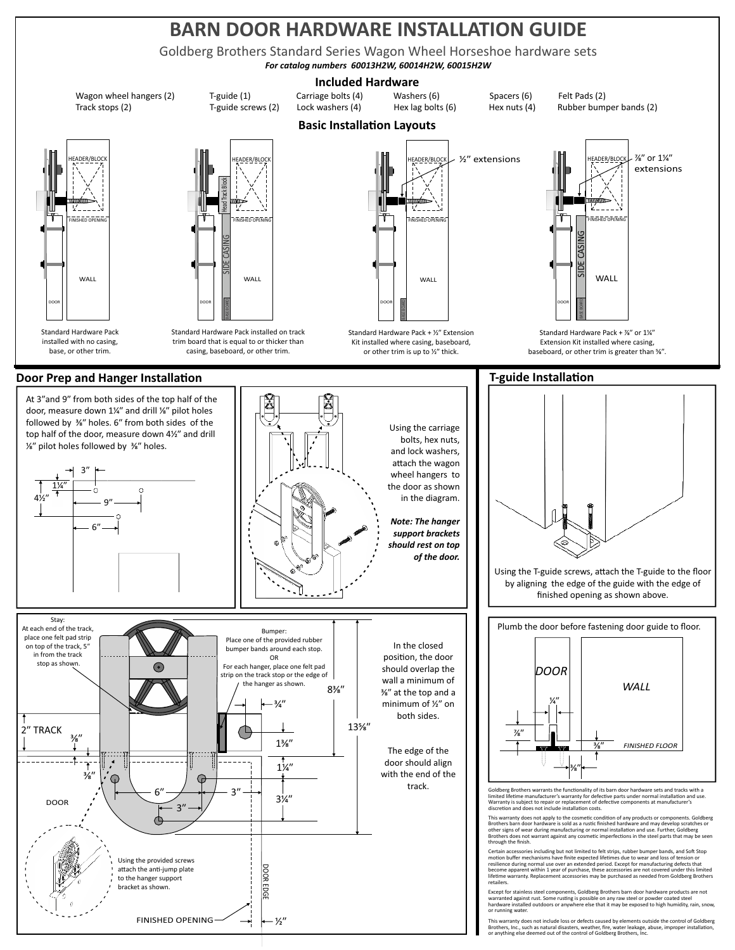# **BARN DOOR HARDWARE INSTALLATION GUIDE**

Goldberg Brothers Standard Series Wagon Wheel Horseshoe hardware sets

*For catalog numbers 60013H2W, 60014H2W, 60015H2W*

#### **Included Hardware**

Wagon wheel hangers (2) T-guide (1) Carriage bolts (4) Washers (6) Spacers (6) Felt Pads (2) Track stops (2) T-guide screws (2) Lock washers (4) Hex lag bolts (6) Hex nuts (4) Rubber bumper bands (2)

# WALL DOOR Standard Hardware Pack installed with no casing,



trim board that is equal to or thicker than casing, baseboard, or other trim.

base, or other trim.

## **Door Prep and Hanger Installation**

At 3"and 9" from both sides of the top half of the door, measure down 1¼" and drill ¼" pilot holes followed by  $\frac{3}{8}$ " holes. 6" from both sides of the top half of the door, measure down 4½" and drill <sup>1⁄8</sup><sup>*''*</sup> pilot holes followed by <sup>3⁄8</sup><sup>*''*</sup> holes.





At each end of the track, Stay: Bumper: place one felt pad strip Place one of the provided rubber on top of the track, 5<sup>n</sup> In the closed bumper bands around each stop. in from the track OR position, the door stop as shown. For each hanger, place one felt pad ි should overlap the strip on the track stop or the edge of wall a minimum of the hanger as shown.  $8^{3/2}$ ⁄ʺ at the top and a  $3/4'$ minimum of 1/2" on both sides. 13⁄ʺ 2ʺ TRACK  $\frac{3}{8}$  $1^{3/2}$ The edge of the door should align  $1\frac{1}{4}$ with the end of the ⁄ʺ track.  $6'' \rightarrow \rightarrow \rightarrow \rightarrow$  3"  $3\frac{1}{4}$ DOOR 3ʺ Using the provided screws **DOOR EDGE** attach the anti-jump plate DOOR EDGE to the hanger support bracket as shown. FINISHED OPENING  $-\frac{1}{2}$ 



Standard Hardware Pack + 1/2" Extension Kit installed where casing, baseboard, or other trim is up to  $\frac{1}{2}$ " thick.



Standard Hardware Pack + %" or 1%" Extension Kit installed where casing, baseboard, or other trim is greater than %".

### **T-guide Installation**





Goldberg Brothers warrants the functionality of its barn door hardware sets and tracks with a limited lifetime manufacturer's warranty for defective parts under normal installation and use. Warranty is subject to repair or replacement of defective components at manufacturer's discretion and does not include installation costs.

discretion and does not include installation costs.<br>This warranty does not apply to the cosmetic condition of any products or components. Goldberg<br>Brothers barn door hardware is sold as a rustic finished hardware and may d

Certain accessories including but not limited to felt strips, rubber bumper bands, and Soft Stop<br>emotion buffer mechanisms have finite expected lifetimes due to wear and loss of tension or<br>resilience during normal use over retailers.

Except for stainless steel components, Goldberg Brothers barn door hardware products are not<br>warranted against rust. Some rusting is possible on any raw steel or powder coated steel<br>hardware installed outdoors or anywhere or running water.

This warranty does not include loss or defects caused by elements outside the control of Goldberg<br>Brothers, Inc., such as natural disasters, weather, fire, water leakage, abuse, improper installation,<br>or anything else deem

## **Basic Installation Layouts**